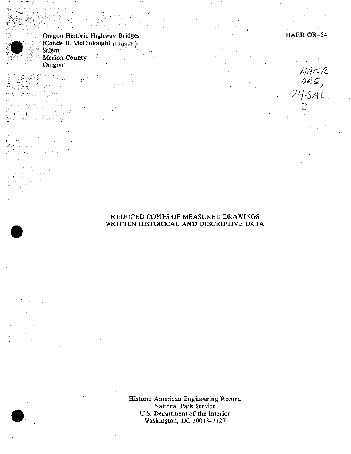Oregon Historic Highway Bridges HAER OR-54 (Conde B. McCuIlough) *&&&£&)* Salem Marion County Oregon



## REDUCED COPIES OF MEASURED DRAWINGS WRITTEN HISTORICAL AND DESCRIPTIVE DATA

Historic American Engineering Record National Park Service U.S. Department of the Interior Washington, DC 20013-7127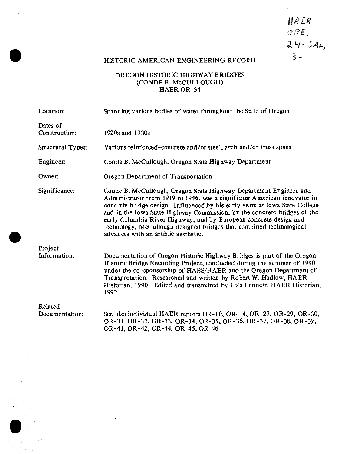# HAER ORE, *XH-SAl,*  $3 -$

# HISTORIC AMERICAN ENGINEERING RECORD

# OREGON HISTORIC HIGHWAY BRIDGES (CONDE B. McCULLOUGH) HAER OR-54

| Location:                 | Spanning various bodies of water throughout the State of Oregon                                                                                                                                                                                                                                                                                                                                                                                                                              |
|---------------------------|----------------------------------------------------------------------------------------------------------------------------------------------------------------------------------------------------------------------------------------------------------------------------------------------------------------------------------------------------------------------------------------------------------------------------------------------------------------------------------------------|
| Dates of<br>Construction: | 1920s and 1930s                                                                                                                                                                                                                                                                                                                                                                                                                                                                              |
| <b>Structural Types:</b>  | Various reinforced-concrete and/or steel, arch and/or truss spans                                                                                                                                                                                                                                                                                                                                                                                                                            |
| Engineer:                 | Conde B. McCullough, Oregon State Highway Department                                                                                                                                                                                                                                                                                                                                                                                                                                         |
| Owner:                    | Oregon Department of Transportation                                                                                                                                                                                                                                                                                                                                                                                                                                                          |
| Significance:             | Conde B. McCullough, Oregon State Highway Department Engineer and<br>Administrator from 1919 to 1946, was a significant American innovator in<br>concrete bridge design. Influenced by his early years at Iowa State College<br>and in the Iowa State Highway Commission, by the concrete bridges of the<br>early Columbia River Highway, and by European concrete design and<br>technology, McCullough designed bridges that combined technological<br>advances with an artistic aesthetic. |
| Project                   |                                                                                                                                                                                                                                                                                                                                                                                                                                                                                              |
| Information:              | Documentation of Oregon Historic Highway Bridges is part of the Oregon<br>Historic Bridge Recording Project, conducted during the summer of 1990<br>under the co-sponsorship of HABS/HAER and the Oregon Department of<br>Transportation. Researched and written by Robert W. Hadlow, HAER<br>Historian, 1990. Edited and transmitted by Lola Bennett, HAER Historian,<br>1992.                                                                                                              |
| Related                   |                                                                                                                                                                                                                                                                                                                                                                                                                                                                                              |
| Documentation:            | See also individual HAER reports OR-10, OR-14, OR-27, OR-29, OR-30,<br>OR-31, OR-32, OR-33, OR-34, OR-35, OR-36, OR-37, OR-38, OR-39,<br>OR-41, OR-42, OR-44, OR-45, OR-46                                                                                                                                                                                                                                                                                                                   |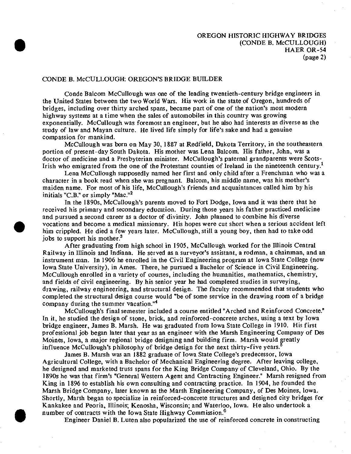#### CONDE B. McCULLOUGH: OREGON'S BRIDGE BUILDER

Conde Balcom McCullough was one of the leading twentieth-century bridge engineers in the United States between the two World Wars. His work in the state of Oregon, hundreds of bridges, including over thirty arched spans, became part of one of the nation's most modern highway systems at a time when the sales of automobiles in this country was growing exponentially. McCullough was foremost an engineer, but he also had interests as diverse as the study of law and Mayan culture. He lived life simply for life's sake and had a genuine compassion for mankind.

McCullough was born on May 30, 1887 at Redfield, Dakota Territory, in the southeastern portion of present-day South Dakota. His mother was Lena Balcom. His father, John, was a doctor of medicine and a Presbyterian minister. McCullough's paternal grandparents were Scots-Irish who emigrated from the one of the Protestant counties of Ireland in the nineteenth century.<sup>1</sup>

Lena McCullough supposedly named her first and only child after a Frenchman who was a character in a book read when she was pregnant. Balcom, his middle name, was his mother's maiden name. For most of his life, McCullough's friends and acquaintances called him by his initials "C.B." or simply "Mac."<sup>2</sup>

In the 1890s, McCullough's parents moved to Fort Dodge, Iowa and it was there that he received his primary and secondary education. During those years his father practiced medicine and pursued a second career as a doctor of divinity. John planned to combine his diverse vocations and become a medical missionary. His hopes were cut short when a serious accident left him crippled. He died a few years later. McCullough, still a young boy, then had to take odd jobs to support his mother.<sup>3</sup>

After graduating from high school in 1905, McCullough worked for the Illinois Central Railway in Illinois and Indiana. He served as a surveyor's assistant, a rodman, a chainman, and an instrument man. In 1906 he enrolled in the Civil Engineering program at Iowa State College (now Iowa State University), in Ames. There, he pursued a Bachelor of Science in Civil Engineering, McCullough enrolled in a variety of courses, including the humanities, mathematics, chemistry, and fields of civil engineering. By his senior year he had completed studies in surveying, drawing, railway engineering, and structural design. The faculty recommended that students who completed the structural design course would "be of some service in the drawing room of a bridge company during the summer vacation."<sup>4</sup>

McCullough's final semester included a course entitled "Arched and Reinforced Concrete." In it, he studied the design of stone, brick, and reinforced-concrete arches, using a text by Iowa bridge engineer, James B. Marsh. He was graduated from Iowa State College in 1910. His first professional job began later that year as an engineer with the Marsh Engineering Company of Des Moines, Iowa, a major regional bridge designing and building firm. Marsh would greatly influence McCullough's philosophy of bridge design for the next thirty-five years.

James B. Marsh was an 1882 graduate of Iowa State College's predecessor, Iowa Agricultural College, with a Bachelor of Mechanical Engineering degree. After leaving college, he designed and marketed truss spans for the King Bridge Company of Cleveland, Ohio. By the 1890s he was that firm's "General Western Agent and Contracting Engineer." Marsh resigned from King in 1896 *to* establish his own consulting and contracting practice. In 1904, he founded the Marsh Bridge Company, later known as the Marsh Engineering Company, of Des Moines, Iowa. Shortly, Marsh began to specialize in reinforced-concrete structures and designed city bridges for Kankakee and Peoria, Illinois; Kenosha, Wisconsin; and Waterloo, Iowa. He also undertook a number of contracts with the Iowa State Highway Commission.<sup>6</sup>

**•**

Engineer Daniel B. Luten also popularized the use of reinforced concrete in constructing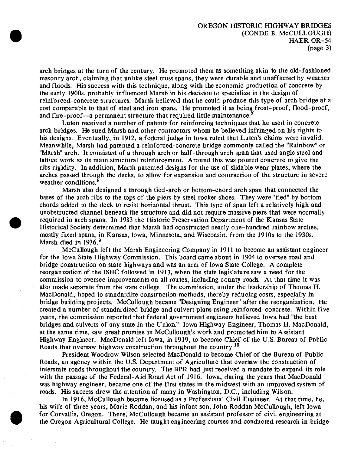arch bridges at the turn of the century. He promoted them as something akin to the old-fashioned masonry arch, claiming that unlike steel truss spans, they were durable and unaffected by weather and floods. His success with this technique, along with the economic production of concrete by the early 1900s, probably influenced Marsh in his decision to specialize in the design of reinforced-concrete structures. Marsh believed that he could produce this type of arch bridge at a cost comparable to that of steel and iron spans. He promoted it as being frost-proof, flood-proof, and fire-proof—a permanent structure that required little maintenance.

Luten received a number of patents for reinforcing techniques that he used in concrete arch bridges. He sued Marsh and other contractors whom he believed infringed on his rights to his designs. Eventually, in 1912, a federal judge in Iowa ruled that Luten's claims were invalid. Meanwhile, Marsh had patented a reinforced-concrete bridge commonly called the "Rainbow" or "Marsh" arch. It consisted of a through arch or half-through arch span that used angle steel and lattice work as its main structural reinforcement. Around this was poured concrete to give the ribs rigidity. In addition, Marsh patented designs for the use of slidable wear plates, where the arches passed through the decks, to allow for expansion and contraction of the structure in severe weather conditions.<sup>8</sup>

Marsh also designed a through tied-arch or bottom-chord arch span that connected the bases of the arch ribs to the tops of the piers by steel rocker shoes. They were "tied" by bottom chords added to the deck to resist horizontal thrust. This type of span left a relatively high and unobstructed channel beneath the structure and did not require massive piers that were normally required in arch spans. In 1983 the Historic Preservation Department of the Kansas State Historical Society determined that Marsh had constructed nearly one-hundred rainbow arches, mostly fixed spans, in Kansas, Iowa, Minnesota, and Wisconsin, from the 1910s to the 1930s. Marsh died in 1936.<sup>9</sup>

McCullough left the Marsh Engineering Company in 1911 to become an assistant engineer for the Iowa State Highway Commission. This board came about in 1904 to oversee road and bridge construction on state highways and was an arm of Iowa State College. A complete reorganization of the ISHC followed in 1913, when the state legislature saw a need for the commission to oversee improvements on all routes, including county roads. At that time it was also made separate from the state college. The commission, under the leadership of Thomas H. MacDonald, hoped to standardize construction methods, thereby reducing costs, especially in bridge building projects. McCullough became "Designing Engineer" after the reorganization. He created a number of standardized bridge and culvert plans using reinforced-concrete. Within five years, the commission reported that federal government engineers believed Iowa had "the best bridges and culverts of any state in the Union." Iowa Highway Engineer, Thomas H. MacDonald, at the same time, saw great promise in McCullough's work and promoted him to Assistant Highway Engineer. MacDonald left Iowa, in 1919, to become Chief of the U.S. Bureau of Public Roads that oversaw highway construction throughout the country.<sup>10</sup>

President Woodrow Wilson selected MacDonald to become Chief of the Bureau of Public Roads, an agency within the U.S. Department of Agriculture that oversaw the construction of interstate roads throughout the country. The BPR had just received a mandate to expand its role with the passage of the Federal-Aid Road Act of 1916. Iowa, during the years that MacDonald was highway engineer, became one of the first states in the midwest with an improved system of roads. His success drew the attention of many in Washington, D.C., including Wilson.

In 1916, McCullough became licensed as a Professional Civil Engineer. At that time, he, his wife of three years, Marie Roddan, and his infant son, John Roddan McCullough, left Iowa for Corvallis, Oregon. There, McCullough became an assistant professor of civil engineering at the Oregon Agricultural College. He taught engineering courses and conducted research in bridge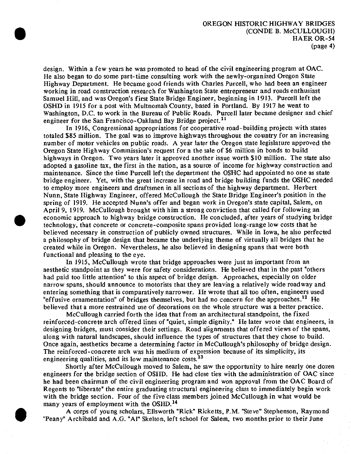design. Within a few years he was promoted to head of the civil engineering program at OAC. He also began to do some part-time consulting work with the newly-organized Oregon State Highway Department. He became good friends with Charles Purcell, who had been an engineer working in road construction research for Washington State entrepreneur and roads enthusiast Samuel Hill, and was Oregon's first State Bridge Engineer, beginning in 1913. Purcell left the OSHD in 1915 for a post with Multnomah County, based in Portland. By 1917 he went to Washington, D.C. to work in the Bureau of Public Roads. Purcell later became designer and chief engineer for the San Francisco-Oakland Bay Bridge project.<sup>11</sup>

In 1916, Congressional appropriations for cooperative road-building projects with states totaled \$85 million. The goal was to improve highways throughout the country for an increasing number of motor vehicles on public roads. A year later the Oregon state legislature approved the Oregon State Highway Commission's request for a the sale of \$6 million in bonds to build highways in Oregon. Two years later it approved another issue worth \$10 million. The state also adopted a gasoline tax, the first in the nation, as a source of income for highway construction and maintenance. Since the time Purcell left the department the OSHC had appointed no one as state bridge engineer. Yet, with the great increase in road and bridge building funds the OSHC needed to employ more engineers and draftsmen in all sections of the highway department. Herbert Nunn, State Highway Engineer, offered McCullough the State Bridge Engineer's position in the spring of 1919. He accepted Nunn's offer and began work in Oregon's state capital, Salem, on April 9, 1919. McCullough brought with him a strong conviction that called for following an economic approach to highway bridge construction. He concluded, after years of studying bridge technology, that concrete or concrete-composite spans provided long-range low costs that he believed necessary in construction of publicly owned structures. While in Iowa, he also perfected a philosophy of bridge design that became the underlying theme of virtually all bridges that he created while in Oregon. Nevertheless, he also believed in designing spans that were both functional and pleasing to the eye.

In 1915, McCullough wrote that bridge approaches were just as important from an aesthetic standpoint as they were for safety considerations. He believed that in the past "others had paid too little attention" to this aspect of bridge design. Approaches, especially on older narrow spans, should announce to motorists that they are leaving a relatively wide roadway and entering something that is comparatively narrower. He wrote that all too often, engineers used "effusive ornamentation" of bridges themselves, but had no concern for the approaches.<sup>12</sup> He believed that a more restrained use of decorations on the whole structure was a better practice.

McCullough carried forth the idea that from an architectural standpoint, the fixed reinforced-concrete arch offered lines of "quiet, simple dignity." He later wrote that engineers, in designing bridges, must consider their settings. Road alignments that offered views of the spans, along with natural landscapes, should influence the types of structures that they chose to build. Once again, aesthetics became a determining factor in McCulIough's philosophy of bridge design. The reinforced-concrete arch was his medium of expression because of its simplicity, its engineering qualities, and its low maintenance costs.<sup>13</sup>

Shortly after McCullough moved to Salem, he saw the opportunity to hire nearly one dozen engineers for the bridge section of OSHD. He had close ties with the administration of OAC since he had been chairman of the civil engineering program and won approval from the OAC Board of Regents to "liberate" the entire graduating structural engineering class to immediately begin work with the bridge section. Four of the five class members joined McCullough in what would be many years of employment with the OSHD.<sup>14</sup>

A corps of young scholars, Ellsworth "Rick" Ricketts, P.M. "Steve" Stephenson, Raymond "Peany" Archibald and A.G. "Al" Skelton, left school for Salem, two months prior to their June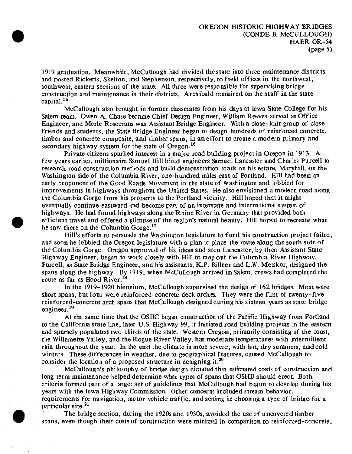1919 graduation. Meanwhile, McCullough had divided the state into three maintenance districts and posted Ricketts, Skelton, and Stephenson, respectively, to field offices in the northwest, southwest, eastern sections of the state. All three were responsible for supervising bridge construction and maintenance in their districts. Archibald remained on the staff in the state capital.<sup>15</sup>

McCullough also brought in former classmates from his days at Iowa State College for his Salem team. Owen A. Chase became Chief Design Engineer, William Reeves served as Office Engineer, and Merle Rosecrans was Assistant Bridge Engineer. With a close-knit group of close friends and students, the State Bridge Engineer began to design hundreds of reinforced concrete, timber and concrete composite, and timber spans, in an effort to create <sup>a</sup> modern primary and secondary highway system for the state of Oregon.<sup>16</sup>

Private citizens sparked interest in a major road building project in Oregon in 1913. A few years earlier, millionaire Samuel Hill hired engineers Samuel Lancaster and Charles Purcell to research road construction methods and build demonstration roads on his estate, Maryhill, on the Washington side of the Columbia River, one-hundred miles east of Portland. Hill had been an early proponent of the Good Roads Movement in the state of Washington and lobbied for improvements in highways throughout the United States. He also envisioned a modern road along the Columbia Gorge from his property to the Portland vicinity. Hill hoped that it might eventually continue eastward and become part of an interstate and international system of highways. He had found highways along the Rhine River in Germany that provided both efficient travel and offered a glimpse of the region's natural beauty. Hill hoped to recreate what he saw there on the Columbia Gorge.<sup>17</sup>

Hill's efforts to persuade the Washington legislature to fund his construction project failed, and soon he lobbied the Oregon legislature with a plan to place the route along the south side of the Columbia Gorge. Oregon approved of his ideas and soon Lancaster, by then Assistant State Highway Engineer, began to work closely with Hill to map out the Columbia River Highway. Purcell, as State Bridge Engineer, and his assistants, K.P. Billner and L.W. Metskor, designed the spans along the highway. By 1919, when McCullough arrived in Salem, crews had completed the route as far as Hood River.<sup>18</sup>

In the 1919-1920 biennium, McCullough supervised the design of 162 bridges. Most were short spans, but four were reinforced-concrete deck arches. They were the first of twenty-five reinforced-concrete arch spans that McCullough designed during his sixteen years as state bridge engineer.<sup>19</sup>

At the same time that the OSHC began construction of the Pacific Highway from Portland to the California state line, later U.S. Highway 99, it initiated road building projects in the eastern and sparsely populated two-thirds of the state. Western Oregon, primarily consisting of the coast, the Willamette Valley, and the Rogue River Valley, has moderate temperatures with intermittent rain throughout the year. In the east the climate is more severe, with hot, dry summers, and cold winters. These differences in weather, due to geographical features, caused McCullough to consider the location of a proposed structure in designing it.<sup>20</sup>

McCullough's philosophy of bridge design dictated that estimated costs of construction and long term maintenance helped determine what types of spans that OSHD should erect. Both criteria formed part of a larger set of guidelines that McCullough had begun to develop during his years with the Iowa Highway Commission. Other concerns included stream behavior, requirements for navigation, motor vehicle traffic, and setting in choosing a type of bridge for a particular site.<sup>21</sup>

The bridge section, during the 1920s and 1930s, avoided the use of uncovered timber spans, even though their costs of construction were minimal in comparison to reinforced-concrete,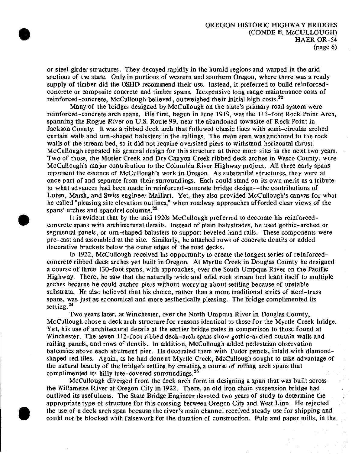or steel girder structures. They decayed rapidly in the humid regions and warped in the arid sections of the state. Only in portions of western and southern Oregon, where there was a ready supply of timber did the OSHD recommend their use. Instead, it preferred to build reinforcedconcrete or composite concrete and timber spans. Inexpensive long range maintenance costs of reinforced-concrete, McCullough believed, outweighed their initial high costs.<sup>22</sup>

Many of the bridges designed by McCullough on the state's primary road system were reinforced-concrete arch spans. His first, begun in June 1919, was the 113-foot Rock Point Arch, spanning the Rogue River on U.S. Route 99, near the abandoned townsite of Rock Point in Jackson County. It was a ribbed deck arch that followed classic lines with semi-circular arched curtain walls and urn-shaped balusters in the railings. The main span was anchored to the rock walls of the stream bed, so it did not require oversized piers to withstand horizontal thrust. McCullough repeated his general design for this structure at three more sites in the next two years. Two of those, the Mosier Creek and Dry Canyon Creek ribbed deck arches in Wasco County, were McCullough's major contribution to the Columbia River Highway project. All three early spans represent the essence of McCullough's work in Oregon. As substantial structures, they were at once part of and separate from their surroundings. Each could stand on its own merit as a tribute to what advances had been made in reinforced-concrete bridge design—the contributions of Luten, Marsh, and Swiss engineer Maillart. Yet, they also provided McCullough's canvas for what he called "pleasing site elevation outlines," when roadway approaches afforded clear views of the spans' arches and spandrel columns.<sup>23</sup>

It is evident that by the mid 1920s McCullough preferred to decorate his reinforcedconcrete spans with architectural details. Instead of plain balustrades, he used gothic-arched or segmental panels, or urn-shaped balusters to support beveled hand rails. These components were pre-cast and assembled at the site. Similarly, he attached rows of concrete dentils or added decorative brackets below the outer edges of the road decks.

In 1922, McCullough received his opportunity to create the longest series of reinforcedconcrete ribbed deck arches yet built in Oregon. At Myrtle Creek in Douglas County he designed a course of three 130-foot spans, with approaches, over the South Umpqua River on the Pacific Highway. There, he saw that the naturally wide and solid rock stream bed leant itself to multiple arches because he could anchor piers without worrying about settling because of unstable substrata. He also believed that his choice, rather than a more traditional series of steel-truss spans, was just as economical and more aesthetically pleasing. The bridge complimented its setting.<sup>24</sup>

Two years later, at Winchester, over the North Umpqua River in Douglas County, McCullough chose a deck arch structure for reasons identical to those for the Myrtle Creek bridge. Yet, his use of architectural details at the earlier bridge pales in comparison to those found at Winchester. The seven 112-foot ribbed deck-arch spans show gothic-arched curtain walls and railing panels, and rows of dentils. In addition, McCullough added pedestrian observation balconies above each abutment pier. He decorated them with Tudor panels, inlaid with diamondshaped red tiles. Again, as he had done at Myrtle Creek, McCullough sought to take advantage of the natural beauty of the bridge's setting by creating a course of roiling arch spans that complimented its hilly tree-covered surroundings.<sup>25</sup>

McCullough diverged from the deck arch form in designing a span that was built across the Willamette River at Oregon City in 1922. There, an old iron chain suspension bridge had outlived its usefulness. The State Bridge Engineer devoted two years of study to determine the appropriate type of structure for this crossing between Oregon City and West Linn. He rejected the use of a deck arch span because the river's main channel received steady use for shipping and could not be blocked with falsework for the duration of construction. Pulp and paper mills, in the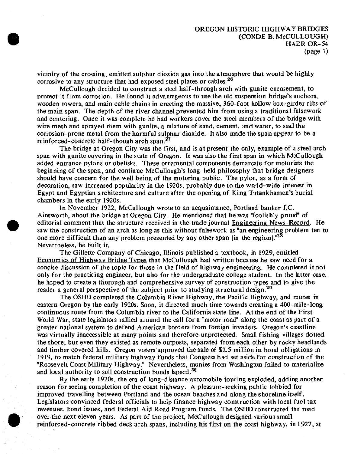vicinity of the crossing, emitted sulphur dioxide gas into the atmosphere that would be highly corrosive to any structure that had exposed steel plates or cables.<sup>26</sup>

McCullough decided to construct a steel half-through arch with gunite encasement, to protect it from corrosion. He found it advantageous to use the old suspension bridge's anchors, wooden towers, and main cable chains in erecting the massive, 360-foot hollow box-girder ribs of the main span. The depth of the river channel prevented him from using a traditional falsework and centering. Once it was complete he had workers cover the steel members of the bridge with wire mesh and sprayed them with gunite, a mixture of sand, cement, and water, to seal the corrosion-prone metal from the harmful sulphur dioxide. It also made the span appear to be a reinforced-concrete half-though arch span.<sup>27</sup>

The bridge at Oregon City was the first, and is at present the only, example of <sup>a</sup> steel arch span with gunite covering in the state of Oregon. It was also the first span in which McCullough added entrance pylons or obelisks. These ornamental components demarcate for motorists the beginning of the span, and continue McCullough's long-held philosophy that bridge designers should have concern for the well being of the motoring public. The pylon, as a form of decoration, saw increased popularity in the 1920s, probably due to the world-wide interest in Egypt and Egyptian architecture and culture after the opening of King Tutankhamen's burial chambers in the early 1920s.

In November 1922, McCullough wrote to an acquaintance, Portland banker J.C. Ainsworth, about the bridge at Oregon City. He mentioned that he was "foolishly proud" of editorial comment that the structure received in the trade journal Engineering News-Record. He saw the construction of an arch as long as this without falsework as "an engineering problem ten to one more difficult than any problem presented by any other span [in the region]."<sup>28</sup> Nevertheless, he built it.

The Gillette Company of Chicago, Illinois published a textbook, in 1929, entitled Economics of Highway Bridge Types that McCullough had written because he saw need for a concise discussion of the topic for those in the field of highway engineering. He completed it not only for the practicing engineer, but also for the undergraduate college student. In the latter case, he hoped to create a thorough and comprehensive survey of construction types and to give the reader a general perspective of the subject prior to studying structural design.<sup>29</sup>

The OSHD completed the Columbia River Highway, the Pacific Highway, and routes in eastern Oregon by the early 1920s. Soon, it directed much time towards creating a 400-mile-long continuous route from the Columbia river to the California state line. At the end of the First World War, state legislators rallied around the call for a "motor road" along the coast as part of a greater national system to defend American borders from foreign invaders. Oregon's coastline was virtually inaccessible at many points and therefore unprotected. Small fishing villages dotted the shore, but even they existed as remote outposts, separated from each other by rocky headlands and timber covered hills. Oregon voters approved the sale of \$2.5 million in bond obligations in 1919, to match federal military highway funds that Congress had set aside for construction of the "Roosevelt Coast Military Highway." Nevertheless, monies from Washington failed to materialize and local authority to sell construction bonds lapsed.<sup>30</sup>

By the early 1920s, the era of long-distance automobile touring exploded, adding another reason for seeing completion of the coast highway. A pleasure-seeking public lobbied for improved travelling between Portland and the ocean beaches and along the shoreline itself. Legislators convinced federal officials to help finance highway construction with local fuel tax revenues, bond issues, and Federal Aid Road Program funds. The OSHD constructed the road over the next eleven years. As part of the project, McCullough designed various small reinforced-concrete ribbed deck arch spans, including his first on the coast highway, in 1927, at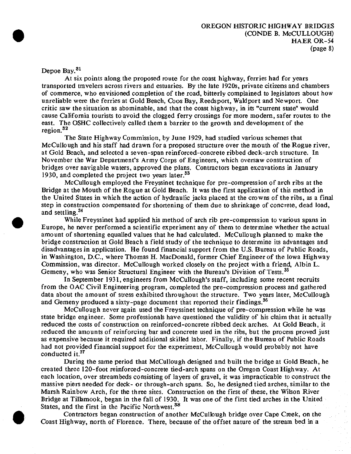Depoe Bay.<sup>31</sup>

At six points along the proposed route for the coast highway, ferries had for years transported travelers across rivers and estuaries. By the late 1920s, private citizens and chambers of commerce, who envisioned completion of the road, bitterly complained to legislators about how unreliable were the ferries at Gold Beach, Coos Bay, Reedsport, Waldport and Newport. One critic saw the situation as abominable, and that the coast highway, in its "current state" would cause California tourists to avoid the clogged ferry crossings for more modern, safer routes to the east. The OSHC collectively called them a barrier to the growth and development of the region.<sup>32</sup>

The State Highway Commission, by June 1929, had studied various schemes that McCullough and his staff had drawn for a proposed structure over the mouth of the Rogue river, at Gold Beach, and selected a seven-span reinforced-concrete ribbed deck-arch structure. In November the War Department's Army Corps of Engineers, which oversaw construction of bridges over navigable waters, approved the plans. Contractors began excavations in January 1930, and completed the project two years later.<sup>33</sup>

McCullough employed the Freyssinet technique for pre-compression of arch ribs at the Bridge at the Mouth of the Rogue at Gold Beach. It was the first application of this method in the United States in which the action of hydraulic jacks placed at the crowns of the ribs, as a final step in construction compensated for shortening of them due to shrinkage of concrete, dead load, and settling.<sup>34</sup>

While Freyssinet had applied his method of arch rib pre-compression to various spans in Europe, he never performed a scientific experiment any of them to determine whether the actual amount of shortening equalled values that he had calculated. McCullough planned to make the bridge construction at Gold Beach a field study of the technique to determine its advantages and disadvantages in application. He found financial support from the U.S. Bureau of Public Roads, in Washington, D.C., where Thomas H. MacDonald, former Chief Engineer of the Iowa Highway Commission, was director. McCullough worked closely on the project with a friend, Albin L. Gemeny, who was Senior Structural Engineer with the Bureau's Division of Tests.<sup>35</sup>

In September 1931, engineers from McCuIlough's staff, including some recent recruits from the OAC Civil Engineering program, completed the pre-compression process and gathered data about the amount of stress exhibited throughout the structure. Two years later, McCullough and Gemeny produced a sixty-page document that reported their findings.<sup>36</sup>

McCullough never again used the Freyssinet technique of pre-compression while he was state bridge engineer. Some professionals have questioned the validity of his claim that it actually reduced the costs of construction on reinforced-concrete ribbed deck arches. At Gold Beach, it reduced the amounts of reinforcing bar and concrete used in the ribs, but the process proved just as expensive because it required additional skilled labor. Finally, if the Bureau of Public Roads had not provided financial support for the experiment, McCullough would probably not have conducted it.<sup>37</sup>

During the same period that McCullough designed and built the bridge at Gold Beach, he created three 120-foot reinforced-concrete tied-arch spans on the Oregon Coast Highway. At each location, over streambeds consisting of layers of gravel, it was impracticable to construct the massive piers needed for deck- or through-arch spans. So, he designed tied arches, similar to the Marsh Rainbow Arch, for the three sites. Construction on the first of these, the Wilson River Bridge at Tillamook, began in the fall of 1930. It was one of the first tied arches in the United States, and the first in the Pacific Northwest.<sup>38</sup>

Contractors began construction of another McCullough bridge over Cape Creek, on the Coast Highway, north of Florence. There, because of the offset nature of the stream bed in a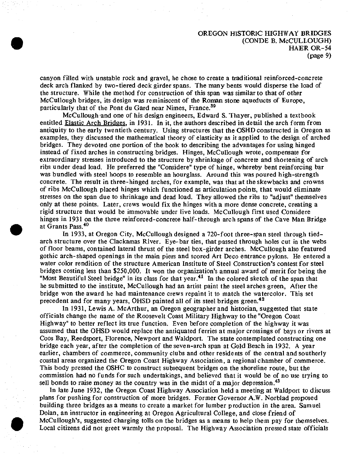#### OREGON HISTORIC HIGHWAY BRIDGES (CONDE B. McCULLOUGH) HAER OR-54 (page 9)

canyon filled with unstable rock and gravel, he chose to create a traditional reinforced-concrete deck arch flanked by two-tiered deck girder spans. The many bents would disperse the load of the structure. While the method for construction of this span was similar to that of other McCullough bridges, its design was reminiscent of the Roman stone aqueducts of Europe, particularly that of the Pont du Gard near Nimes, France.<sup>39</sup>

McCullough and one of his design engineers, Edward S. Thayer, published a textbook entitled Elastic Arch Bridges, in 1931. In it, the authors described in detail the arch form from antiquity to the early twentieth century. Using structures that the OSHD constructed in Oregon as examples, they discussed the mathematical theory of elasticity as it applied to the design of arched bridges. They devoted one portion of the book to describing the advantages for using hinged instead of fixed arches in constructing bridges. Hinges, McCullough wrote, compensate for extraordinary stresses introduced to the structure by shrinkage of concrete and shortening of arch ribs under dead load. He preferred the "Considere" type of hinge, whereby bent reinforcing bar was bundled with steel hoops to resemble an hourglass. Around this was poured high-strength concrete. The result in three-hinged arches, for example, was that at the skewbacks and crowns of ribs McCullough placed hinges which functioned as articulation points, that would eliminate stresses on the span due to shrinkage and dead load. They allowed the ribs to "adjust" themselves only at these points. Later, crews would fix the hinges with a more dense concrete, creating a rigid structure that would be immovable under live loads. McCullough first used Considere hinges in 1931 on the three reinforced-concrete half-through arch spans of the Cave Man Bridge at Grants Pass.<sup>40</sup>

In 1933, at Oregon City, McCullough designed a 720-foot three-span steel through tiedarch structure over the Clackamas River. Eye-bar ties, that passed through holes cut in the webs of floor beams, contained lateral thrust of the steel box-girder arches. McCullough also featured gothic arch-shaped openings in the main piers and scored Art Deco entrance pylons. He entered a water color rendition of the structure American Institute of Steel Construction's contest for steel bridges costing less than \$250,000. It won the organization's annual award of merit for being the "Most Beautiful Steel bridge" in its class for that year.<sup>41</sup> In the colored sketch of the span that he submitted to the institute, McCullough had an artist paint the steel arches green, After the bridge won the award he had maintenance crews repaint it to match the watercoior. This set precedent and for many years, OHSD painted all of its steel bridges green.<sup>42</sup>

In 1931, Lewis A. McArthur, an Oregon geographer and historian, suggested that state officials change the name of the Roosevelt Coast Military Highway to the "Oregon Coast Highway" to better reflect its true function. Even before completion of the highway it was assumed that the OHSD would replace the antiquated ferries at major crossings of bays or rivers at Coos Bay, Reedsport, Florence, Newport and Waldport. The state contemplated constructing one bridge each year, after the completion of the seven-arch span at Gold Beach in 1932. A year earlier, chambers of commerce, community clubs and other residents of the central and southerly coastal areas organized the Oregon Coast Highway Association, a regional chamber of commerce. This body pressed the OSHC to construct subsequent bridges on the shoreline route, but the commission had no funds for such undertakings, and believed that it would be of no use trying to sell bonds to raise money as the country was in the midst of a major depression.<sup>43</sup>

In late June 1932, the Oregon Coast Highway Association held a meeting at Waldport to discuss plans for pushing for construction of more bridges. Former Governor A.W. Norblad proposed building three bridges as a means to create a market for lumber production in the area. Samuel Dolan, an instructor in engineering at Oregon Agricultural College, and close friend of McCullough's, suggested charging tolls on the bridges as a means to help them pay for themselves. Local citizens did not greet warmly the proposal. The Highway Association pressed state officials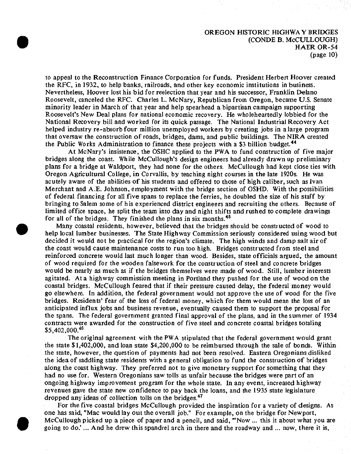## OREGON HISTORIC HIGHWAY BRIDGES (CONDE B. McCULLOUGH) HAER OR-54 (page 10)

to appeal to the Reconstruction Finance Corporation for funds. President Herbert Hoover created the RFC, in 1932, to help banks, railroads, and other key economic institutions in business. Nevertheless, Hoover lost his bid for reelection that year and his successor, Franklin Delano Roosevelt, canceled the RFC. Charles L. McNary, Republican from Oregon, became U.S. Senate minority leader in March of that year and help spearhead a bipartisan campaign supporting Roosevelt's New Deal plans for national economic recovery. He wholeheartedly lobbied for the National Recovery bill and worked for its quick passage. The National Industrial Recovery Act helped industry re-absorb four million unemployed workers by creating jobs in a large program that oversaw the construction of roads, bridges, dams, and public buildings. The NIRA created the Public Works Administration to finance these projects with a \$3 billion budget.<sup>44</sup>

At McNary's insistence, the OSHC applied to the PWA to fund construction of five major bridges along the coast. While McCullough's design engineers had already drawn up preliminary plans for a bridge at Waldport, they had none for the others. McCullough had kept close ties with Oregon Agricultural College, in Corvallis, by teaching night courses in the late 1920s. He was acutely aware of the abilities of his students and offered to those of high caliber, such as Ivan Merchant and A.E. Johnson, employment with the bridge section of OSHD. With the possibilities of federal financing for all five spans to replace the ferries, he doubled the size of his staff by bringing to Salem some of his experienced district engineers and recruiting the others. Because of limited office space, he split the team into day and night shifts and rushed to complete drawings for all of the bridges. They finished the plans in six months.<sup>45</sup>

Many coastal residents, however, believed that the bridges should be constructed of wood to help local lumber businesses. The State Highway Commission seriously considered using wood but decided it would not be practical for the region's climate. The high winds and damp salt air of the coast would cause maintenance costs to run too high. Bridges constructed from steel and reinforced concrete would last much longer than wood. Besides, state officials argued, the amount of wood required for the wooden falsework for the construction of steel and concrete bridges would be nearly as much as if the bridges themselves were made of wood. Still, lumber interests agitated. At a highway commission meeting in Portland they pushed for the use of wood on the coastal bridges. McCullough feared that if their pressure caused delay, the federal money would go elsewhere. In addition, the federal government would not approve the use of wood for the five bridges. Residents' fear of the loss of federal money, which for them would mean the loss of an anticipated influx jobs and business revenue, eventually caused them to support the proposal for the spans. The federal government granted final approval of the plans, and in the summer of 1934 contracts were awarded for the construction of five steel and concrete coastal bridges totaling \$5,402,00O.<sup>46</sup>

The original agreement with the PWA stipulated that the federal government would grant the state \$1,402,000, and loan state \$4,200,000 to be reimbursed through the sale of bonds. Within the state, however, the question of payments had not been resolved. Eastern Oregonians disliked the idea of saddling state residents with a general obligation to fund the construction of bridges along the coast highway. They preferred not to give monetary support for something that they had no use for. Western Oregonians saw tolls as unfair because the bridges were part of an ongoing highway improvement program for the whole state. In any event, increased highway revenues gave the state new confidence to pay back the loans, and the 1935 state legislature dropped any ideas of collection tolls on the bridges.<sup>47</sup>

For the five coastal bridges McCullough provided the inspiration for a variety of designs. As one has said, "Mac would lay out the overall job." For example, on the bridge for Newport, McCullough picked up a piece of paper and a pencil, and said, '"Now ... this it about what you are going to do.'... And he drew this spandrel arch in there and the roadway and ... now, there it is,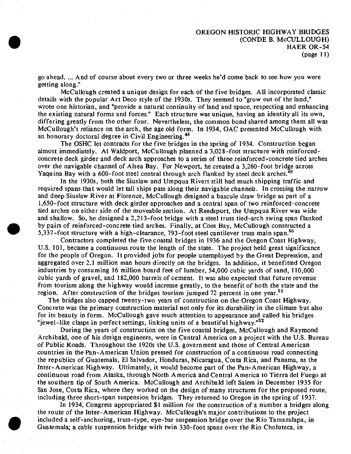go ahead. ... And of course about every two or three weeks he'd come back to see how you were getting along."

McCuIlough created a unique design for each of the five bridges. All incorporated classic details with the popular Art Deco style of the 1930s. They seemed to "grow out of the land," wrote one historian, and "provide a natural continuity of land and space, respecting and enhancing the existing natural forms and forces." Each structure was unique, having an identity all its own, differing greatly from the other four. Nevertheless, the common bond shared among them all was McCullough's reliance on the arch, the age old form. In 1934, OAC presented McCullough with an honorary doctoral degree in Civil Engineering.<sup>48</sup>

The OSHC let contracts for the five bridges in the spring of 1934. Construction began almost immediately. At Waldport, McCuIlough planned a 3,028-foot structure with reinforcedconcrete deck girder and deck arch approaches to a series of three reinforced-concrete tied arches over the navigable channel of Alsea Bay. For Newport, he created a 3,260-foot bridge across Yaquina Bay with a  $600$ -foot steel central through arch flanked by steel deck arches.<sup>49</sup>

In the 1930s, both the Siuslaw and Umpqua Rivers still had much shipping traffic and required spans that would let tall ships pass along their navigable channels. In crossing the narrow and deep Siuslaw River at Florence, McCuIlough designed a bascule draw bridge as part of a 1,650-foot structure with deck girder approaches and a central span of two reinforced-concrete tied arches on either side of the moveable section. At Reedsport, the Umpqua River was wide and shallow. So, he designed a 2,213-foot bridge with a steel truss tied-arch swing span flanked by pairs of reinforced-concrete tied arches. Finally, at Coos Bay, McCuIlough constructed a 5,337-foot structure with a high-clearance, 793-foot steel cantilever truss main span.<sup>50</sup>

Contractors completed the five coastal bridges in 1936 and the Oregon Coast Highway, U.S. 101, became a continuous route the length of the state. The project held great significance for the people of Oregon. It provided jobs for people unemployed by the Great Depression, and aggregated over 2.1 million man hours directly on the bridges. In addition, it benefitted Oregon industries by consuming 16 million board feet of lumber, 54,000 cubic yards of sand, 110,000 cubic yards of gravel, and 182,000 barrels of cement. It was also expected that future revenue from tourism along the highway would increase greatly, to the benefit of both the state and the region. After construction of the bridges tourism jumped 72 percent in one year.<sup>51</sup>

The bridges also capped twenty-two years of construction on the Oregon Coast Highway. Concrete was the primary construction material not only for its durability in the climate but also for its beauty in form. McCuIlough gave much attention to appearance and called his bridges "jewel-like clasps in perfect settings, linking units of a beautiful highway."<sup>52</sup>

During the years of construction on the five coastal bridges, McCuIlough and Raymond Archibald, one of his design engineers, were in Central America on a project with the U.S. Bureau of Public Roads. Throughout the 1920s the U.S. government and those of Central American countries in the Pan-American Union pressed for construction of a continuous road connecting the republics of Guatemala, El Salvador, Honduras, Nicaragua, Costa Rica, and Panama, as the Inter-American Highway. Ultimately, it would become part of the Pan-American Highway, a continuous road from Alaska, through North America and Central America to Tierra del Fuego at the southern tip of South America. McCuIlough and Archibald left Salem in December 1935 for San Jose, Costa Rica, where they worked on the design of many structures for the proposed route, including three short-span suspension bridges. They returned to Oregon in the spring of 1937.

In 1934, Congress appropriated \$1 million for the construction of a number a bridges along the route of the Inter-American Highway. McCullough's major contributions to the project included a self-anchoring, truss-type, eye-bar suspension bridge over the Rio Tamazulapa, in Guatemala; a cable suspension bridge with twin 330-foot spans over the Rio Choluteca, in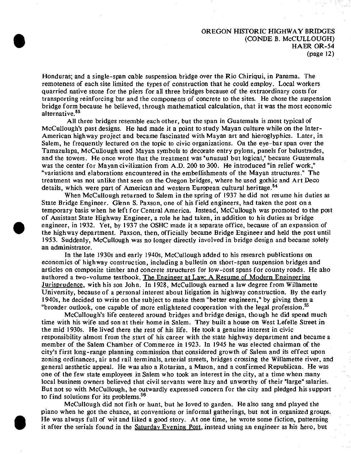### OREGON HISTORIC HIGHWAY BRIDGES (CONDE B. McCULLOUGH) HAER OR-54 (page 12)

Honduras; and a single-span cable suspension bridge over the Rio Chiriqui, in Panama. The remoteness of each site limited the types of construction that he could employ. Local workers quarried native stone for the piers for all three bridges because of the extraordinary costs for transporting reinforcing bar and the components of concrete to the sites. He chose the suspension bridge form because he believed, through mathematical calculation, that it was the most economic alternative. $53$ 

**t**

All three bridges resemble each other, but the span in Guatemala is most typical of McCullough's past designs. He had made it a point to study Mayan culture while on the Inter-American highway project and became fascinated with Mayan art and hieroglyphics. Later, in Salem, he frequently lectured on the topic to civic organizations. On the eye-bar span over the Tamazulapa, McCullough used Mayan symbols to decorate entry pylons, panels for balustrades, and the towers. He once wrote that the treatment was "unusual but logical," because Guatemala was the center for Mayan civilization from A.D. 200 to 300. He introduced "in relief work," "variations and elaborations encountered in the embellishments of the Mayan structures." The treatment was not unlike that seen on the Oregon bridges, where he used gothic and Art Deco details, which were part of American and western European cultural heritage.<sup>54</sup>

When McCullough returned to Salem in the spring of 1937 he did not resume his duties as State Bridge Engineer. Glenn S. Paxson, one of his field engineers, had taken the post on a temporary basis when he left for Central America. Instead, McCullough was promoted to the post of Assistant State Highway Engineer, a role he had taken, in addition to his duties as bridge engineer, in 1932. Yet, by 1937 the OSHC made it a separate office, because of an expansion of the highway department. Paxson, then, officially became Bridge Engineer and held the post until 1953. Suddenly, McCullough was no longer directly involved in bridge design and became solely an administrator.

In the late 1930s and early 1940s, McCullough added to his research publications on economics of highway construction, including a bulletin on short-span suspension bridges and articles on composite timber and concrete structures for low-cost spans for county roads. He also authored a two-volume textbook, The Engineer at Law: A Resume of Modern Engineering Jurisprudence, with his son John. In 1928, McCullough earned a law degree from Willamette University, because of a personal interest about litigation in highway construction. By the early 1940s, he decided to write on the subject to make them "better engineers," by giving them a "broader outlook, one capable of more enlightened cooperation with the legal profession.<sup>\$5</sup>

McCullough's life centered around bridges and bridge design, though he did spend much time with his wife and son at their home in Salem. They built a house on West Lefelle Street in the mid 1930s. He lived there the rest of his life. He took a genuine interest in civic responsibility almost from the start of his career with the state highway department and became a member of the Salem Chamber of Commerce in 1923. In 1945 he was elected chairman of the city's first long-range planning commission that considered growth of Salem and its effect upon zoning ordinances, air and rail terminals, arterial streets, bridges crossing the Willamette river, and general aesthetic appeal. He was also a Rotarian, a Mason, and a confirmed Republican. He was one of the few state employees in Salem who took an interest in the city, at a time when many local business owners believed that civil servants were lazy and unworthy of their "large" salaries. But not so with McCullough, he outwardly expressed concern for the city and pledged his support to find solutions for its problems.<sup>56</sup>

McCullough did not fish or hunt, but he loved to garden. He also sang and played the piano when he got the chance, at conventions or informal gatherings, but not in organized groups. He was always full of wit and liked a good story. At one time, he wrote some fiction, patterning it after the serials found in the Saturday Evening Post, instead using an engineer as his hero, but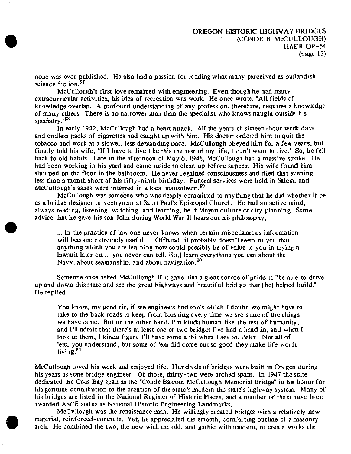none was ever published. He also had a passion for reading what many perceived as outlandish science fiction.<sup>57</sup>

McCullough's first love remained with engineering. Even though he had many extracurricular activities, his idea of recreation was work. He once wrote, "All fields of knowledge overlap. A profound understanding of any profession, therefore, requires a knowledge of many others. There is no narrower man than the specialist who knows naught outside his specialty."<sup>58</sup>

In early 1942, McCullough had a heart attack. All the years of sixteen-hour work days and endless packs of cigarettes had caught up with him. His doctor ordered him to quit the tobacco and work at a slower, less demanding pace. McCullough obeyed him for a few years, but finally told his wife, "If I have to live like this the rest of my life, I don't want to live." So, he fell back to old habits. Late in the afternoon of May 6, 1946, McCullough had a massive stroke. He had been working in his yard and came inside to clean up before supper. His wife found him slumped on the floor in the bathroom. He never regained consciousness and died that evening, less than a month short of his fifty-ninth birthday. Funeral services were held in Salem, and McCullough's ashes were interred in a local mausoleum.<sup>59</sup>

McCullough was someone who was deeply committed to anything that he did whether it be as a bridge designer or vestryman at Saint Paul's Episcopal Church. He had an active mind, always reading, listening, watching, and learning, be it Mayan culture or city planning. Some advice that he gave his son John during World War II bears out his philosophy,

... In the practice of law one never knows when certain miscellaneous information will become extremely useful. ... Offhand, it probably doesn't seem to you that anything which you are learning now could possibly be of value to you in trying a lawsuit later on ... you never can tell. [So,] learn everything you can about the Navy, about seamanship, and about navigation.<sup>60</sup>

Someone once asked McCullough if it gave him <sup>a</sup> great source of pride to "be able to drive up and down this state and see the great highways and beautiful bridges that [he] helped build." He replied,

You know, my good sir, if we engineers had souls which <sup>I</sup> doubt, we might have to take to the back roads to keep from blushing every time we see some of the things we have done. But on the other hand, I'm kinda human like the rest of humanity, and I'll admit that there's at least one or two bridges I've had a hand in, and when I look at them, I kinda figure I'll have some alibi when I see St. Peter. Not all of 'em, you understand, but some of 'em did come out so good they make life worth living.<sup>61</sup>

McCullough loved his work and enjoyed life. Hundreds of bridges were built in Oregon during his years as state bridge engineer. Of those, thirty-two were arched spans. In 1947 the state dedicated the Coos Bay span as the "Conde Balcom McCullough Memorial Bridge" in his honor for his genuine contribution to the creation of the state's modern the state's highway system. Many of his bridges are listed in the National Register of Historic Places, and a number of them have been awarded ASCE status as National Historic Engineering Landmarks.

McCullough was the renaissance man. He willingly created bridges with a relatively new material, reinforced-concrete. Yet, he appreciated the smooth, comforting outline of a masonry arch. He combined the two, the new with the old, and gothic with modern, to create works the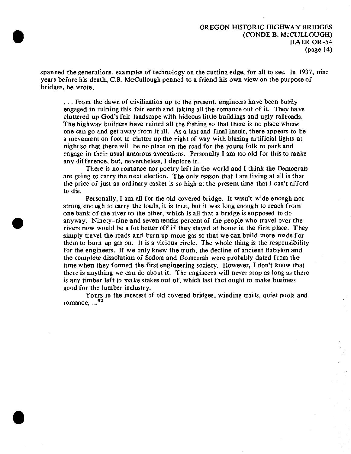spanned the generations, examples of technology on the cutting edge, for all to see. In 1937, nine years before his death, C.B. McCullough penned to a friend his own view on the purpose of bridges, he wrote,

.. . From the dawn of civilization up to the present, engineers have been busily engaged in ruining this fair earth and taking all the romance out of it. They have cluttered up God's fair landscape with hideous little buildings and ugly railroads. The highway builders have ruined all the fishing so that there is no place where one can go and get away from it all. As a last and final insult, there appears to be a movement on foot to clutter up the right of way with blazing artificial lights at night so that there will be no place on the road for the young folk to park and engage in their usual amorous avocations. Personally I am too old for this to make any difference, but, nevertheless, I deplore it.

There is no romance nor poetry left in the world and I think the Democrats are going to carry the next election. The only reason that I am living at all is that the price of just an ordinary casket is so high at the present time that I can't afford to die.

Personally, I am all for the old covered bridge. It wasn't wide enough nor strong enough to carry the loads, it is true, but it was long enough to reach from one bank of the river to the other, which is all that a bridge is supposed to do anyway. Ninety-nine and seven tenths percent of the people who travel over the rivers now would be a lot better off if they stayed at home in the first place. They simply travel the roads and burn up more gas so that we can build more roads for them to burn up gas on. It is a vicious circle. The whole thing is the responsibility for the engineers. If we only knew the truth, the decline of ancient Babylon and the complete dissolution of Sodom and Gomorrah were probably dated from the time when they formed the first engineering society. However, I don't know that there is anything we can do about it. The engineers will never stop as long as there is any timber left to make stakes out of, which last fact ought to make business good for the lumber industry.

Yours in the interest of old covered bridges, winding trails, quiet pools and romance, ... 62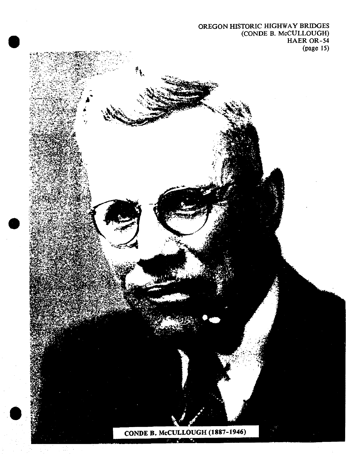# OREGON HISTORIC HIGHWAY BRIDGES (CONDE B. McCULLOUGH) HAER OR-54 (page 15)

CONDE B. McCULLOUGH (1887-1946)  $\mathbf{S}$  . The set of  $\mathbf{S}$ 

ŧ.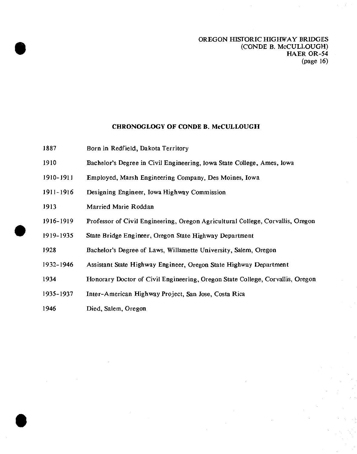#### CHRONOGLOGY OF CONDE B. McCULLOUGH

- 1887 Born in Redfield, Dakota Territory
- 1910 Bachelor's Degree in Civil Engineering, Iowa State College, Ames, Iowa
- 1910-1911 Employed, Marsh Engineering Company, Des Moines, Iowa
- 1911-1916 Designing Engineer, Iowa Highway Commission
- 1913 Married Marie Roddan
- 1916-1919 Professor of Civil Engineering, Oregon Agricultural College, Corvallis, Oregon

1919-1935 State Bridge Engineer, Oregon State Highway Department

1928 Bachelor's Degree of Laws, Willamette University, Salem, Oregon

- 1932-1946 Assistant State Highway Engineer, Oregon State Highway Department
- 1934 Honorary Doctor of Civil Engineering, Oregon State College, Corvallis, Oregon
- 1935-1937 Inter-American Highway Project, San Jose, Costa Rica
- 1946 Died, Salem, Oregon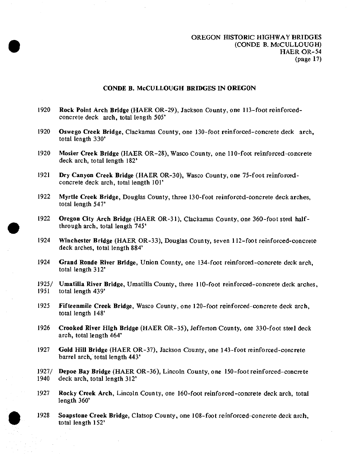#### OREGON HISTORIC HIGHWAY BRIDGES (CONDE B. McCULLOUGH) HAER OR-54 (page 17)

#### CONDE B. McCULLOUGH BRIDGES IN OREGON

- 1920 Rock Point Arch Bridge (HAER OR-29), Jackson County, one 113-foot reinforcedconcrete deck arch, total length 505'
- 1920 Oswego Creek Bridge, Clackamas County, one 130-foot reinforced-concrete deck arch, total length 330'
- 1920 Mosier Creek Bridge (HAER OR-28), Wasco County, one 110-foot reinforced-concrete deck arch, total length 182\*
- 1921 Dry Canyon Creek Bridge (HAER OR-30), Wasco County, one 75-foot reinforcedconcrete deck arch, total length 101\*
- 1922 Myrtle Creek Bridge, Douglas County, three 130-foot reinforced-concrete deck arches, total length 547'
- 1922 Oregon City Arch Bridge (HAER OR-31), Clackamas County, one 360-foot steel halfthrough arch, total length 745\*
- 1924 Winchester Bridge (HAER OR-33), Douglas County, seven 112-foot reinforced-concrete deck arches, total length 884'
- 1924 Grand Ronde River Bridge, Union County, one 134-foot reinforced-concrete deck arch, total length 312\*
- 1925/ Umatilla River Bridge, Umatilla County, three 110-foot reinforced-concrete deck arches, 1951 total length 439' total length 439'
- 1925 Fifteemnile Creek Bridge, Wasco County, one 120-foot reinforced-concrete deck arch, total length 148<sup>\*</sup>
- 1926 Crooked River High Bridge (HAER OR-35), Jefferson County, one 330-foot steel deck arch, total length 464\*
- 1927 Gold Hill Bridge (HAER OR-37), Jackson County, one 143-foot reinforced-concrete barrel arch, total length 443'
- 1927/ Depoe Bay Bridge (HAER OR-36), Lincoln County, one 150-foot reinforced-concrete<br>1940 deck arch, total length 312' deck arch, total length 312'
- 1927 Rocky Creek Arch, Lincoln County, one 160-foot reinforced-concrete deck arch, total length 360'
- 1928 Soapstone Creek Bridge, Clatsop County, one 108-foot reinforced-concrete deck arch, total length 152'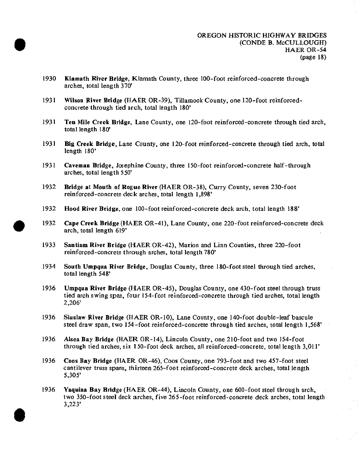- 1930 Klamath River Bridge, Kiamath County, three 100-foot reinforced-concrete through arches, total length 370\*
- 1931 Wilson River Bridge (HAER OR-39), Tillamook County, one 120-foot reinforcedconcrete through tied arch, total length 180'
- 1931 Ten Mile Creek Bridge, Lane County, one 120-foot reinforced-concrete through tied arch, total length 180'
- 1931 Big Creek Bridge, Lane County, one 120-foot reinforced-concrete through tied arch, total length 180'
- 1931 Caveman Bridge, Josephine County, three 150-foot reinforced-concrete half-through arches, total length 550'
- 1932 Bridge at Mouth of Rogue River (HAER OR-38), Curry County, seven 230-foot reinforced-concrete deck arches, total length 1,898'
- 1932 Hood River Bridge, one 100-foot reinforced-concrete deck arch, total length 188'
- 1932 Cape Creek Bridge (HAER OR-41), Lane County, one 220-foot reinforced-concrete deck arch, total length 619'
- 1933 Santiam River Bridge (HAER OR-42), Marion and Linn Counties, three 220-foot reinforced-concrete through arches, total length 780'
- 1934 South Umpqua River Bridge, Douglas County, three 180-foot steel through tied arches, total length 548'
- 1936 Umpqua River Bridge (HAER OR-45), Douglas County, one 430-foot steel through truss tied arch swing span, four 154-foot reinforced-concrete through tied arches, total length 2,206'
- 1936 Siuslaw River Bridge (HAER OR-10), Lane County, one 140-foot double-leaf bascule steel draw span, two 154-foot reinforced-concrete through tied arches, total length 1,568'
- 1936 Alsea Bay Bridge (HAER OR-14), Lincoln County, one 210-foot and two 154-foot through tied arches, six 150-foot deck arches, all reinforced-concrete, total length 3,011'
- 1936 Coos Bay Bridge (HAER OR-46), Coos County, one 793-foot and two 457-foot steel cantilever truss spans, thirteen 265-foot reinforced-concrete deck arches, total length 5,305'
- 1936 Yaquina Bay Bridge (HAER OR-44), Lincoln County, one 600-foot steel through arch, two 350-foot steel deck arches, five 265-foot reinforced-concrete deck arches, total length 3,223'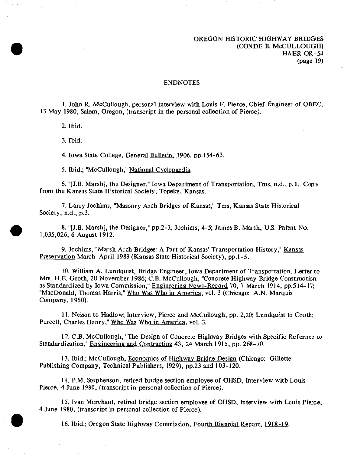## OREGON HISTORIC HIGHWAY BRIDGES (CONDE B. McCULLOUGH) HAER OR-54 (page 19)

#### ENDNOTES

1. John R. McCullough, personal interview with Louis F. Pierce, Chief Engineer of OBEC, 13 May 1980, Salem, Oregon, (transcript in the personal collection of Pierce).

2. Ibid.

3. Ibid.

4. Iowa State College, General Bulletin. 1906. pp. 154-63.

5. Ibid.; "McCullough," National Cyclopaedia.

6. "[J.B. Marsh], the Designer," Iowa Department of Transportation, Tms, n.d., p.l. Copy from the Kansas State Historical Society, Topeka, Kansas.

7. Larry Jochims, "Masonry Arch Bridges of Kansas," Tms, Kansas State Historical Society, n.d., p.3.

8. "[J.B. Marsh], the Designer," pp.2-3; Jochims, 4-5; James B. Marsh, U.S. Patent No. 1,035,026, 6 August 1912.

9. Jochims, "Marsh Arch Bridges: A Part of Kansas' Transportation History," Kansas Preservation March-April 1983 (Kansas State Historical Society), pp.1-5.

10. William A. Lundquist, Bridge Engineer, Iowa Department of Transportation, Letter to Mrs. H.E. Groth, 20 November 1986; C.B. McCullough, "Concrete Highway Bridge Construction as Standardized by Iowa Commission," Engineering News-Record 70, 7 March 1914, pp.514-17; "MacDonald, Thomas Harris," Who Was Who in America, vol. 3 (Chicago: A.N. Marquis Company, 1960).

11. Nelson to Hadlow; Interview, Pierce and McCullough, pp. 2,20; Lundquist to Groth; Purcell, Charles Henry," Who Was Who in America, vol. 3.

12. C.B. McCullough, "The Design of Concrete Highway Bridges with Specific Refernce to Standardization," Engineering and Contracting 43, 24 March 1915, pp. 268-70.

13. Ibid.; McCullough, Economics of Highway Bridge Design (Chicago: Gillette Publishing Company, Technical Publishers, 1929), pp.23 and 103-120.

14. P.M. Stephenson, retired bridge section employee of OHSD, Interview with Louis Pierce, 4 June 1980, (transcript in personal collection of Pierce).

15. Ivan Merchant, retired bridge section employee of OHSD, Interview with Louis Pierce, 4 June 1980, (transcript in personal collection of Pierce).

16. Ibid.; Oregon State Highway Commission, Fourth Biennial Report. 1918-19.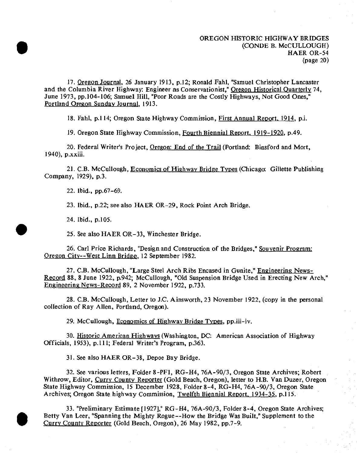17. Oregon Journal. 26 January 1913, p.12; Ronald Fahl, "Samuel Christopher Lancaster and the Columbia River Highway: Engineer as Conservationist," Oregon Historical Quarterly 74, June 1973, pp.104-106; Samuel Hill, "Poor Roads are the Costly Highways, Not Good Ones," Portland Oregon Sunday Journal. 1913.

18. Fahl, p.114; Oregon State Highway Commission, First Annual Report. 1914. p.i.

19. Oregon State Highway Commission, Fourth Biennial Report. 1919-1920. p.49.

20. Federal Writer's Project, Oregon: End of the Trail (Portland: Binsford and Mort, 1940), p.xxiii.

21. C.B. McCuIlough, Economics of Highway Bridge Types (Chicago: Gillette Publishing Company, 1929), p.3.

22. Ibid., pp.67-69.

23. Ibid., p.22; see also HAER OR-29, Rock Point Arch Bridge.

24. Ibid., p.105.

25. See also HAER OR-33, Winchester Bridge.

26. Carl Price Richards, "Design and Construction of the Bridges," Souvenir Program: Oregon Citv—West Linn Bridge. 12 September 1982.

27. C.B. McCuIlough, "Large Steel Arch Ribs Encased in Gunite," Engineering News-Record 88, 8 June 1922, p.942; McCullough, "Old Suspension Bridge Used in Erecting New Arch," Engineering News-Record 89, 2 November 1922, p.733.

28. C.B. McCuIlough, Letter to J.C. Ainsworth, 23 November 1922, (copy in the personal collection of Ray Allen, Portland, Oregon).

29. McCuIlough, Economics of Highway Bridge Types, pp.iii-iv.

30. Historic American Highways (Washington, DC: American Association of Highway Officials, 1953), p.lll; Federal Writer's Program, p.363.

31. See also HAER OR-38, Depoe Bay Bridge.

32. See various letters, Folder 8-PF1, RG-H4, 76A-90/3, Oregon State Archives; Robert Withrow, Editor, Curry County Reporter (Gold Beach, Oregon), letter to H.B. Van Duzer, Oregon State Highway Commission, 15 December 1928, Folder 8-4, RG-H4, 76A-90/3, Oregon State Archives; Oregon State highway Commission, Twelfth Biennial Report. 1934-35. p.l 15.

33. "Preliminary Estimate [1927]," RG-H4, 76A-90/3, Folder 8-4, Oregon State Archives; Betty Van Leer, "Spanning the Mighty Rogue—How the Bridge Was Built," Supplement to the Currv County Reporter (Gold Beach, Oregon), 26 May 1982, pp.7-9.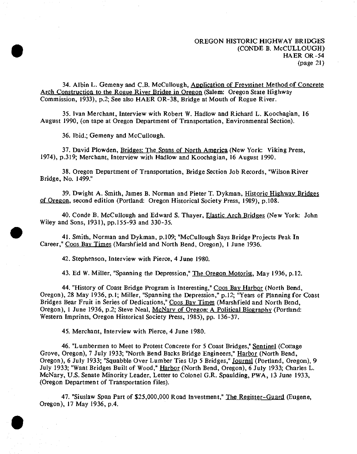34. Albin L. Gemeny and C.B. McCullough, Application of Frevssinet Method of Concrete Arch Construction to the Rogue River Bridge in Oregon (Salem: Oregon State Highway Commission, 1933), p.2; See also HAER OR-38, Bridge at Mouth of Rogue River.

35. Ivan Merchant, Interview with Robert W. Hadlow and Richard L. Koochagian, 16 August 1990, (on tape at Oregon Department of Transportation, Environmental Section).

36. Ibid.; Gemeny and McCullough.

37. David Plowden, Bridges: The Spans of North America (New York: Viking Press, 1974), p.319; Merchant, Interview with Hadlow and Koochagian, 16 August 1990.

38. Oregon Department of Transportation, Bridge Section Job Records, "Wilson River Bridge, No. 1499."

39. Dwight A. Smith, James B, Norman and Pieter T. Dykman, Historic Highway Bridges of Oregon, second edition (Portland: Oregon Historical Society Press, 1989), p.108.

40. Conde B. McCullough and Edward S. Thayer, Elastic Arch Bridges (New York: John Wiley and Sons, 1931), pp.155-93 and 330-35.

41. Smith, Norman and Dykman, p.109; "McCullough Says Bridge Projects Peak In Career," Coos Bav Times (Marshfield and North Bend, Oregon), <sup>1</sup> June 1936.

42. Stephenson, Interview with Pierce, 4 June 1980.

43. Ed W. Miller, "Spanning the Depression," The Oregon Motorist. May 1936, p.12.

44. "History of Coast Bridge Program is Interesting," Coos Bay Harbor (North Bend, Oregon), 28 May 1936, p.l; Miller, "Spanning the Depression," p.12; "Years of Planning for Coast Bridges Bear Fruit in Series of Dedications," Coos Bav Times (Marshfield and North Bend, Oregon), 1 June 1936, p.2; Steve Neal, McNary of Oregon: A Political Biography (Portland: Western Imprints, Oregon Historical Society Press, 1985), pp. 136-37.

45. Merchant, Interview with Pierce, 4 June 1980.

46. "Lumbermen to Meet to Protest Concrete for 5 Coast Bridges," Sentinel (Cottage Grove, Oregon), 7 July 1933; "North Bend Backs Bridge Engineers," Harbor (North Bend, Oregon), 6 July 1933; "Squabble Over Lumber Ties Up 5 Bridges," Journal (Portland, Oregon), 9 July 1933; "Want Bridges Built of Wood," Harbor (North Bend, Oregon), 6 July 1933; Charles L. McNary, U.S. Senate Minority Leader, Letter to Colonel G.R. Spaulding, PWA, 13 June 1933, (Oregon Department of Transportation files).

47. "Siuslaw Span Part of \$25,000,000 Road Investment," The Register-Guard (Eugene, Oregon), 17 May 1936, p.4.